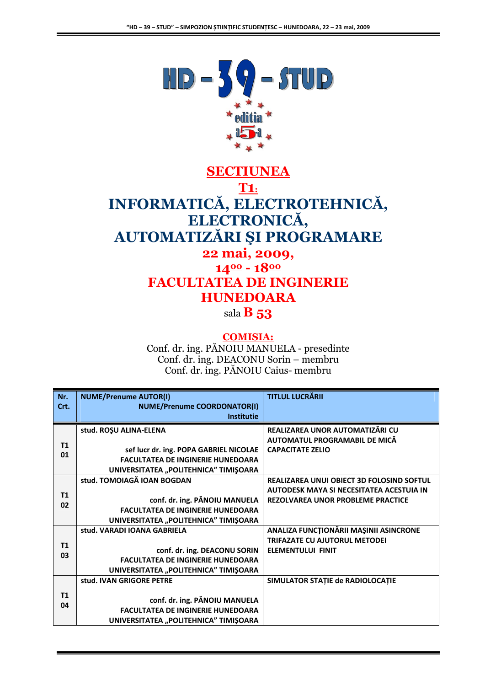

## **SECTIUNEA T1:** INFORMATICĂ, ELECTROTEHNICĂ, ELECTRONICĂ, **AUTOMATIZĂRI ȘI PROGRAMARE** 22 mai, 2009,  $1400 - 1800$

# **FACULTATEA DE INGINERIE HUNEDOARA**

sala  $\bf{B}$  53

#### **COMISIA:**

Conf. dr. ing. PĂNOIU MANUELA - presedinte Conf. dr. ing. DEACONU Sorin - membru Conf. dr. ing. PĂNOIU Caius- membru

| Nr.            | <b>NUME/Prenume AUTOR(I)</b>             | <b>TITLUL LUCRĂRII</b>                           |
|----------------|------------------------------------------|--------------------------------------------------|
| Crt.           | <b>NUME/Prenume COORDONATOR(I)</b>       |                                                  |
|                | <b>Institutie</b>                        |                                                  |
|                | stud. ROŞU ALINA-ELENA                   | REALIZAREA UNOR AUTOMATIZĂRI CU                  |
|                |                                          | AUTOMATUL PROGRAMABIL DE MICĂ                    |
| T1<br>01       | sef lucr dr. ing. POPA GABRIEL NICOLAE   | <b>CAPACITATE ZELIO</b>                          |
|                | <b>FACULTATEA DE INGINERIE HUNEDOARA</b> |                                                  |
|                | UNIVERSITATEA "POLITEHNICA" TIMIŞOARA    |                                                  |
|                | stud. TOMOIAGĂ IOAN BOGDAN               | <b>REALIZAREA UNUI OBIECT 3D FOLOSIND SOFTUL</b> |
| T <sub>1</sub> |                                          | AUTODESK MAYA SI NECESITATEA ACESTUIA IN         |
| 02             | conf. dr. ing. PĂNOIU MANUELA            | <b>REZOLVAREA UNOR PROBLEME PRACTICE</b>         |
|                | <b>FACULTATEA DE INGINERIE HUNEDOARA</b> |                                                  |
|                | UNIVERSITATEA "POLITEHNICA" TIMIŞOARA    |                                                  |
|                | stud. VARADI IOANA GABRIELA              | ANALIZA FUNCTIONĂRII MAȘINII ASINCRONE           |
| T1<br>03       |                                          | <b>TRIFAZATE CU AJUTORUL METODEI</b>             |
|                | conf. dr. ing. DEACONU SORIN             | <b>ELEMENTULUI FINIT</b>                         |
|                | <b>FACULTATEA DE INGINERIE HUNEDOARA</b> |                                                  |
|                | UNIVERSITATEA "POLITEHNICA" TIMIŞOARA    |                                                  |
|                | stud. IVAN GRIGORE PETRE                 | SIMULATOR STATIE de RADIOLOCATIE                 |
| T <sub>1</sub> |                                          |                                                  |
| 04             | conf. dr. ing. PANOIU MANUELA            |                                                  |
|                | <b>FACULTATEA DE INGINERIE HUNEDOARA</b> |                                                  |
|                | UNIVERSITATEA "POLITEHNICA" TIMIŞOARA    |                                                  |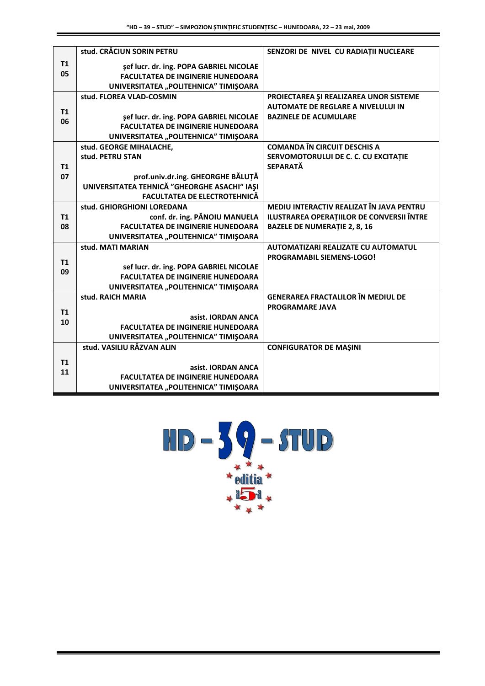|    | stud. CRĂCIUN SORIN PETRU                    | SENZORI DE NIVEL CU RADIAȚII NUCLEARE            |
|----|----------------------------------------------|--------------------------------------------------|
| T1 | sef lucr. dr. ing. POPA GABRIEL NICOLAE      |                                                  |
| 05 | <b>FACULTATEA DE INGINERIE HUNEDOARA</b>     |                                                  |
|    | UNIVERSITATEA "POLITEHNICA" TIMIŞOARA        |                                                  |
|    | stud. FLOREA VLAD-COSMIN                     | PROIECTAREA ȘI REALIZAREA UNOR SISTEME           |
|    |                                              | <b>AUTOMATE DE REGLARE A NIVELULUI IN</b>        |
| T1 | sef lucr. dr. ing. POPA GABRIEL NICOLAE      | <b>BAZINELE DE ACUMULARE</b>                     |
| 06 | <b>FACULTATEA DE INGINERIE HUNEDOARA</b>     |                                                  |
|    | UNIVERSITATEA "POLITEHNICA" TIMIŞOARA        |                                                  |
|    | stud. GEORGE MIHALACHE,                      | <b>COMANDA ÎN CIRCUIT DESCHIS A</b>              |
|    | stud. PETRU STAN                             | SERVOMOTORULUI DE C. C. CU EXCITAȚIE             |
| T1 |                                              | <b>SEPARATĂ</b>                                  |
| 07 | prof.univ.dr.ing. GHEORGHE BĂLUȚĂ            |                                                  |
|    | UNIVERSITATEA TEHNICĂ "GHEORGHE ASACHI" IAȘI |                                                  |
|    | <b>FACULTATEA DE ELECTROTEHNICĂ</b>          |                                                  |
|    | stud. GHIORGHIONI LOREDANA                   | MEDIU INTERACTIV REALIZAT ÎN JAVA PENTRU         |
| T1 | conf. dr. ing. PĂNOIU MANUELA                | <b>ILUSTRAREA OPERATIILOR DE CONVERSII ÎNTRE</b> |
| 08 | <b>FACULTATEA DE INGINERIE HUNEDOARA</b>     | <b>BAZELE DE NUMERAȚIE 2, 8, 16</b>              |
|    | UNIVERSITATEA "POLITEHNICA" TIMIŞOARA        |                                                  |
|    | stud. MATI MARIAN                            | <b>AUTOMATIZARI REALIZATE CU AUTOMATUL</b>       |
| T1 |                                              | <b>PROGRAMABIL SIEMENS-LOGO!</b>                 |
| 09 | sef lucr. dr. ing. POPA GABRIEL NICOLAE      |                                                  |
|    | <b>FACULTATEA DE INGINERIE HUNEDOARA</b>     |                                                  |
|    | UNIVERSITATEA "POLITEHNICA" TIMIŞOARA        |                                                  |
|    | stud. RAICH MARIA                            | <b>GENERAREA FRACTALILOR ÎN MEDIUL DE</b>        |
| T1 |                                              | <b>PROGRAMARE JAVA</b>                           |
| 10 | asist. IORDAN ANCA                           |                                                  |
|    | <b>FACULTATEA DE INGINERIE HUNEDOARA</b>     |                                                  |
|    | UNIVERSITATEA "POLITEHNICA" TIMIŞOARA        |                                                  |
|    | stud. VASILIU RĂZVAN ALIN                    | <b>CONFIGURATOR DE MAŞINI</b>                    |
| T1 |                                              |                                                  |
| 11 | asist. IORDAN ANCA                           |                                                  |
|    | <b>FACULTATEA DE INGINERIE HUNEDOARA</b>     |                                                  |
|    | UNIVERSITATEA "POLITEHNICA" TIMIŞOARA        |                                                  |

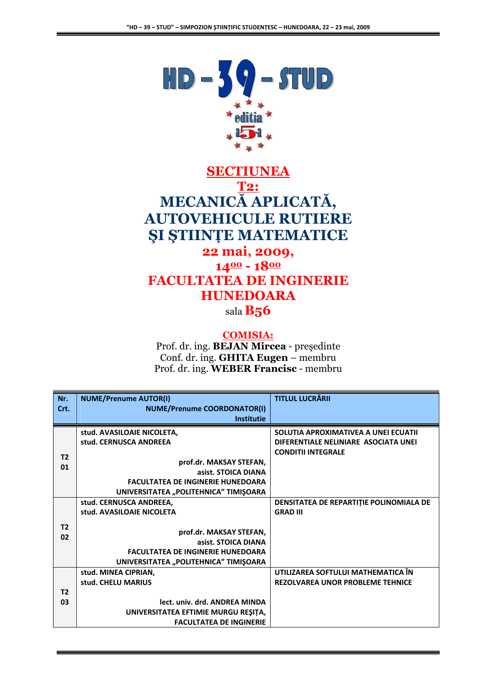

### **SECTIUNEA T2:** MECANICĂ APLICATĂ, **AUTOVEHICULE RUTIERE ȘI ȘTIINȚE MATEMATICE** 22 mai, 2009,  $1400 - 1800$ **FACULTATEA DE INGINERIE HUNEDOARA**

sala B<sub>56</sub>

#### **COMISIA:**

Prof. dr. ing. BEJAN Mircea - președinte Conf. dr. ing. GHITA Eugen - membru Prof. dr. ing. WEBER Francisc - membru

| Nr.            | <b>NUME/Prenume AUTOR(I)</b>             | <b>TITLUL LUCRĂRII</b>                  |
|----------------|------------------------------------------|-----------------------------------------|
| Crt.           | <b>NUME/Prenume COORDONATOR(I)</b>       |                                         |
|                | <b>Institutie</b>                        |                                         |
|                | stud. AVASILOAIE NICOLETA,               | SOLUTIA APROXIMATIVEA A UNEI ECUATII    |
|                | stud. CERNUSCA ANDREEA                   | DIFERENTIALE NELINIARE ASOCIATA UNEI    |
| T <sub>2</sub> |                                          | <b>CONDITII INTEGRALE</b>               |
| 01             | prof.dr. MAKSAY STEFAN,                  |                                         |
|                | asist. STOICA DIANA                      |                                         |
|                | <b>FACULTATEA DE INGINERIE HUNEDOARA</b> |                                         |
|                | UNIVERSITATEA "POLITEHNICA" TIMIŞOARA    |                                         |
|                | stud. CERNUSCA ANDREEA,                  | DENSITATEA DE REPARTITIE POLINOMIALA DE |
|                | stud. AVASILOAIE NICOLETA                | <b>GRAD III</b>                         |
| T <sub>2</sub> |                                          |                                         |
| 02             | prof.dr. MAKSAY STEFAN,                  |                                         |
|                | asist. STOICA DIANA                      |                                         |
|                | <b>FACULTATEA DE INGINERIE HUNEDOARA</b> |                                         |
|                | UNIVERSITATEA "POLITEHNICA" TIMIŞOARA    |                                         |
|                | stud. MINEA CIPRIAN,                     | UTILIZAREA SOFTULUI MATHEMATICA ÎN      |
|                | stud. CHELU MARIUS                       | <b>REZOLVAREA UNOR PROBLEME TEHNICE</b> |
| T <sub>2</sub> |                                          |                                         |
| 03             | lect. univ. drd. ANDREA MINDA            |                                         |
|                | UNIVERSITATEA EFTIMIE MURGU REȘIȚA,      |                                         |
|                | <b>FACULTATEA DE INGINERIE</b>           |                                         |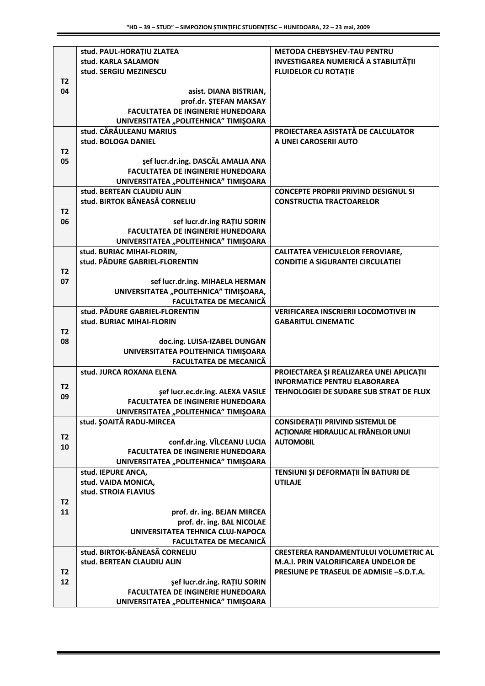|                | stud. PAUL-HORAȚIU ZLATEA                | <b>METODA CHEBYSHEV-TAU PENTRU</b>              |
|----------------|------------------------------------------|-------------------------------------------------|
|                | stud. KARLA SALAMON                      | <b>INVESTIGAREA NUMERICĂ A STABILITĂȚII</b>     |
|                | stud. SERGIU MEZINESCU                   | <b>FLUIDELOR CU ROTATIE</b>                     |
| T <sub>2</sub> |                                          |                                                 |
| 04             |                                          |                                                 |
|                | asist. DIANA BISTRIAN,                   |                                                 |
|                | prof.dr. ŞTEFAN MAKSAY                   |                                                 |
|                | <b>FACULTATEA DE INGINERIE HUNEDOARA</b> |                                                 |
|                | UNIVERSITATEA "POLITEHNICA" TIMIŞOARA    |                                                 |
|                | stud. CĂRĂULEANU MARIUS                  | PROIECTAREA ASISTATĂ DE CALCULATOR              |
|                | stud. BOLOGA DANIEL                      | A UNEI CAROSERII AUTO                           |
| T <sub>2</sub> |                                          |                                                 |
| 05             | sef lucr.dr.ing. DASCĂL AMALIA ANA       |                                                 |
|                | <b>FACULTATEA DE INGINERIE HUNEDOARA</b> |                                                 |
|                |                                          |                                                 |
|                | UNIVERSITATEA "POLITEHNICA" TIMIŞOARA    |                                                 |
|                | stud. BERTEAN CLAUDIU ALIN               | <b>CONCEPTE PROPRII PRIVIND DESIGNUL SI</b>     |
|                | stud. BIRTOK BĂNEASĂ CORNELIU            | <b>CONSTRUCTIA TRACTOARELOR</b>                 |
| T <sub>2</sub> |                                          |                                                 |
| 06             | sef lucr.dr.ing RATIU SORIN              |                                                 |
|                | <b>FACULTATEA DE INGINERIE HUNEDOARA</b> |                                                 |
|                | UNIVERSITATEA "POLITEHNICA" TIMIŞOARA    |                                                 |
|                |                                          |                                                 |
|                | stud. BURIAC MIHAI-FLORIN,               | <b>CALITATEA VEHICULELOR FEROVIARE,</b>         |
|                | stud. PĂDURE GABRIEL-FLORENTIN           | <b>CONDITIE A SIGURANTEI CIRCULATIEI</b>        |
| T <sub>2</sub> |                                          |                                                 |
| 07             | sef lucr.dr.ing. MIHAELA HERMAN          |                                                 |
|                | UNIVERSITATEA "POLITEHNICA" TIMIŞOARA,   |                                                 |
|                | <b>FACULTATEA DE MECANICĂ</b>            |                                                 |
|                | stud. PĂDURE GABRIEL-FLORENTIN           | <b>VERIFICAREA INSCRIERII LOCOMOTIVEI IN</b>    |
|                | stud. BURIAC MIHAI-FLORIN                | <b>GABARITUL CINEMATIC</b>                      |
| T <sub>2</sub> |                                          |                                                 |
|                |                                          |                                                 |
| 08             | doc.ing. LUISA-IZABEL DUNGAN             |                                                 |
|                | UNIVERSITATEA POLITEHNICA TIMIŞOARA      |                                                 |
|                | <b>FACULTATEA DE MECANICĂ</b>            |                                                 |
|                | stud. JURCA ROXANA ELENA                 | PROIECTAREA ȘI REALIZAREA UNEI APLICAȚII        |
|                |                                          | <b>INFORMATICE PENTRU ELABORAREA</b>            |
| T <sub>2</sub> | sef lucr.ec.dr.ing. ALEXA VASILE         | TEHNOLOGIEI DE SUDARE SUB STRAT DE FLUX         |
| 09             | <b>FACULTATEA DE INGINERIE HUNEDOARA</b> |                                                 |
|                | UNIVERSITATEA "POLITEHNICA" TIMIŞOARA    |                                                 |
|                |                                          |                                                 |
|                | stud. SOAITĂ RADU-MIRCEA                 | CONSIDERAȚII PRIVIND SISTEMUL DE                |
| <b>T2</b>      |                                          | <b>ACTIONARE HIDRAULIC AL FRÂNELOR UNUI</b>     |
| 10             | conf.dr.ing. VÎLCEANU LUCIA              | <b>AUTOMOBIL</b>                                |
|                | <b>FACULTATEA DE INGINERIE HUNEDOARA</b> |                                                 |
|                | UNIVERSITATEA "POLITEHNICA" TIMIŞOARA    |                                                 |
|                | stud. IEPURE ANCA,                       | TENSIUNI ȘI DEFORMAȚII ÎN BATIURI DE            |
|                | stud. VAIDA MONICA,                      | <b>UTILAJE</b>                                  |
|                | stud. STROIA FLAVIUS                     |                                                 |
| T <sub>2</sub> |                                          |                                                 |
|                |                                          |                                                 |
| 11             | prof. dr. ing. BEJAN MIRCEA              |                                                 |
|                | prof. dr. ing. BAL NICOLAE               |                                                 |
|                | UNIVERSITATEA TEHNICA CLUJ-NAPOCA        |                                                 |
|                | <b>FACULTATEA DE MECANICA</b>            |                                                 |
|                | stud. BIRTOK-BĂNEASĂ CORNELIU            | CRESTEREA RANDAMENTULUI VOLUMETRIC AL           |
|                | stud. BERTEAN CLAUDIU ALIN               | <b>M.A.I. PRIN VALORIFICAREA UNDELOR DE</b>     |
| T <sub>2</sub> |                                          | <b>PRESIUNE PE TRASEUL DE ADMISIE -S.D.T.A.</b> |
| 12             |                                          |                                                 |
|                | sef lucr.dr.ing. RATIU SORIN             |                                                 |
|                | <b>FACULTATEA DE INGINERIE HUNEDOARA</b> |                                                 |
|                | UNIVERSITATEA "POLITEHNICA" TIMIŞOARA    |                                                 |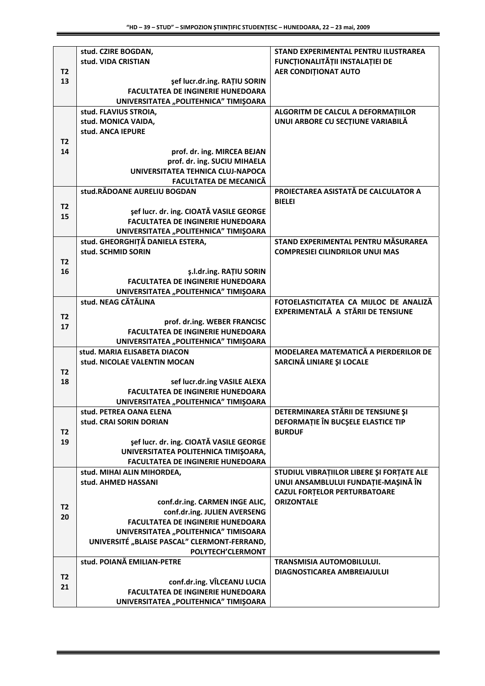|                      | stud. CZIRE BOGDAN,                                                                 | <b>STAND EXPERIMENTAL PENTRU ILUSTRAREA</b>                     |
|----------------------|-------------------------------------------------------------------------------------|-----------------------------------------------------------------|
|                      | stud. VIDA CRISTIAN                                                                 | FUNCȚIONALITĂȚII INSTALAȚIEI DE                                 |
| T <sub>2</sub>       |                                                                                     | <b>AER CONDITIONAT AUTO</b>                                     |
| 13                   | sef lucr.dr.ing. RATIU SORIN                                                        |                                                                 |
|                      | <b>FACULTATEA DE INGINERIE HUNEDOARA</b>                                            |                                                                 |
|                      | UNIVERSITATEA "POLITEHNICA" TIMIŞOARA<br>stud. FLAVIUS STROIA,                      | ALGORITM DE CALCUL A DEFORMAȚIILOR                              |
|                      | stud. MONICA VAIDA,                                                                 | UNUI ARBORE CU SECȚIUNE VARIABILĂ                               |
|                      | stud. ANCA IEPURE                                                                   |                                                                 |
| T <sub>2</sub>       |                                                                                     |                                                                 |
| 14                   | prof. dr. ing. MIRCEA BEJAN                                                         |                                                                 |
|                      | prof. dr. ing. SUCIU MIHAELA                                                        |                                                                 |
|                      | UNIVERSITATEA TEHNICA CLUJ-NAPOCA                                                   |                                                                 |
|                      | <b>FACULTATEA DE MECANICĂ</b>                                                       |                                                                 |
|                      | stud.RĂDOANE AURELIU BOGDAN                                                         | PROIECTAREA ASISTATĂ DE CALCULATOR A                            |
| T <sub>2</sub>       |                                                                                     | <b>BIELEI</b>                                                   |
| 15                   | sef lucr. dr. ing. CIOATĂ VASILE GEORGE<br><b>FACULTATEA DE INGINERIE HUNEDOARA</b> |                                                                 |
|                      | UNIVERSITATEA "POLITEHNICA" TIMIŞOARA                                               |                                                                 |
|                      | stud. GHEORGHITĂ DANIELA ESTERA,                                                    | STAND EXPERIMENTAL PENTRU MĂSURAREA                             |
|                      | stud. SCHMID SORIN                                                                  | <b>COMPRESIEI CILINDRILOR UNUI MAS</b>                          |
| T <sub>2</sub>       |                                                                                     |                                                                 |
| 16                   | ş.l.dr.ing. RAȚIU SORIN                                                             |                                                                 |
|                      | <b>FACULTATEA DE INGINERIE HUNEDOARA</b>                                            |                                                                 |
|                      | UNIVERSITATEA "POLITEHNICA" TIMIŞOARA                                               |                                                                 |
|                      | stud. NEAG CĂTĂLINA                                                                 | FOTOELASTICITATEA CA MIJLOC DE ANALIZĂ                          |
| T <sub>2</sub>       |                                                                                     | EXPERIMENTALĂ A STĂRII DE TENSIUNE                              |
| 17                   | prof. dr.ing. WEBER FRANCISC                                                        |                                                                 |
|                      | <b>FACULTATEA DE INGINERIE HUNEDOARA</b><br>UNIVERSITATEA "POLITEHNICA" TIMIŞOARA   |                                                                 |
|                      | stud. MARIA ELISABETA DIACON                                                        | MODELAREA MATEMATICĂ A PIERDERILOR DE                           |
|                      | stud. NICOLAE VALENTIN MOCAN                                                        | SARCINĂ LINIARE ȘI LOCALE                                       |
| T <sub>2</sub>       |                                                                                     |                                                                 |
| 18                   | sef lucr.dr.ing VASILE ALEXA                                                        |                                                                 |
|                      | <b>FACULTATEA DE INGINERIE HUNEDOARA</b>                                            |                                                                 |
|                      | UNIVERSITATEA "POLITEHNICA" TIMIŞOARA                                               |                                                                 |
|                      | stud. PETREA OANA ELENA                                                             | DETERMINAREA STĂRII DE TENSIUNE ȘI                              |
|                      | stud. CRAI SORIN DORIAN                                                             | DEFORMAȚIE ÎN BUCȘELE ELASTICE TIP                              |
| T2                   |                                                                                     | <b>BURDUF</b>                                                   |
| 19                   | sef lucr. dr. ing. CIOATĂ VASILE GEORGE                                             |                                                                 |
|                      | UNIVERSITATEA POLITEHNICA TIMIŞOARA,<br><b>FACULTATEA DE INGINERIE HUNEDOARA</b>    |                                                                 |
|                      | stud. MIHAI ALIN MIHORDEA,                                                          | STUDIUL VIBRAȚIILOR LIBERE ȘI FORȚATE ALE                       |
|                      | stud. AHMED HASSANI                                                                 | UNUI ANSAMBLULUI FUNDAȚIE-MAȘINĂ ÎN                             |
|                      |                                                                                     | <b>CAZUL FORTELOR PERTURBATOARE</b>                             |
|                      | conf.dr.ing. CARMEN INGE ALIC,                                                      | <b>ORIZONTALE</b>                                               |
| T <sub>2</sub><br>20 | conf.dr.ing. JULIEN AVERSENG                                                        |                                                                 |
|                      | <b>FACULTATEA DE INGINERIE HUNEDOARA</b>                                            |                                                                 |
|                      | UNIVERSITATEA "POLITEHNICA" TIMISOARA                                               |                                                                 |
|                      | UNIVERSITÉ "BLAISE PASCAL" CLERMONT-FERRAND,                                        |                                                                 |
|                      | <b>POLYTECH'CLERMONT</b>                                                            |                                                                 |
|                      | stud. POIANĂ EMILIAN-PETRE                                                          | TRANSMISIA AUTOMOBILULUI.<br><b>DIAGNOSTICAREA AMBREIAJULUI</b> |
| T <sub>2</sub>       | conf.dr.ing. VÎLCEANU LUCIA                                                         |                                                                 |
| 21                   | <b>FACULTATEA DE INGINERIE HUNEDOARA</b>                                            |                                                                 |
|                      | UNIVERSITATEA "POLITEHNICA" TIMIŞOARA                                               |                                                                 |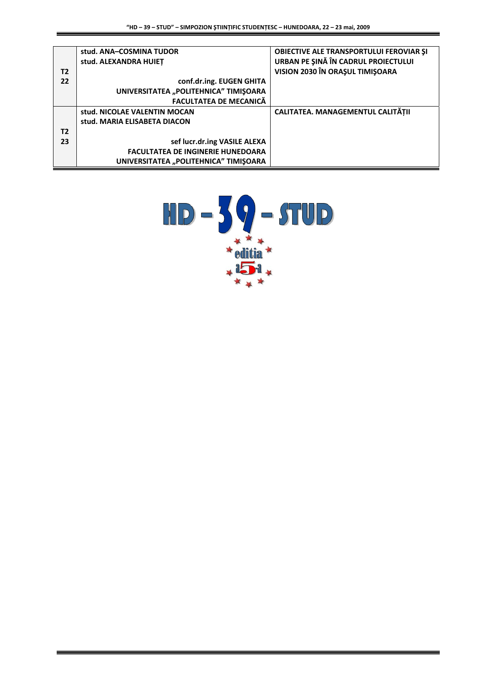|    | stud. ANA-COSMINA TUDOR                  | <b>OBIECTIVE ALE TRANSPORTULUI FEROVIAR SI</b><br>URBAN PE ŞINĂ ÎN CADRUL PROIECTULUI |
|----|------------------------------------------|---------------------------------------------------------------------------------------|
|    | stud. ALEXANDRA HUIET                    |                                                                                       |
| T2 |                                          | VISION 2030 ÎN ORAȘUL TIMIȘOARA                                                       |
| 22 | conf.dr.ing. EUGEN GHITA                 |                                                                                       |
|    | UNIVERSITATEA "POLITEHNICA" TIMIŞOARA    |                                                                                       |
|    | <b>FACULTATEA DE MECANICĂ</b>            |                                                                                       |
|    | stud. NICOLAE VALENTIN MOCAN             | CALITATEA. MANAGEMENTUL CALITĂTII                                                     |
|    | stud. MARIA ELISABETA DIACON             |                                                                                       |
| T2 |                                          |                                                                                       |
| 23 | sef lucr.dr.ing VASILE ALEXA             |                                                                                       |
|    | <b>FACULTATEA DE INGINERIE HUNEDOARA</b> |                                                                                       |
|    | UNIVERSITATEA "POLITEHNICA" TIMIȘOARA    |                                                                                       |

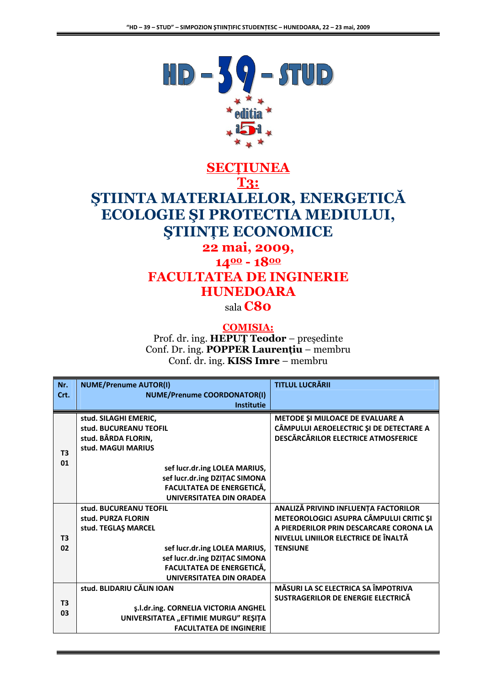

# **SECTIUNEA T3:** ȘTIINTA MATERIALELOR, ENERGETICĂ ECOLOGIE ȘI PROTECTIA MEDIULUI, **STIINTE ECONOMICE**

### 22 mai, 2009,  $1400 - 1800$ **FACULTATEA DE INGINERIE HUNEDOARA**

sala **C80** 

#### **COMISIA:**

Prof. dr. ing. HEPUȚ Teodor - președinte Conf. Dr. ing. POPPER Laurentiu - membru Conf. dr. ing. KISS Imre – membru

| Nr.            | <b>NUME/Prenume AUTOR(I)</b>         | <b>TITLUL LUCRĂRII</b>                  |
|----------------|--------------------------------------|-----------------------------------------|
| Crt.           | <b>NUME/Prenume COORDONATOR(I)</b>   |                                         |
|                | <b>Institutie</b>                    |                                         |
|                | stud. SILAGHI EMERIC,                | METODE ȘI MIJLOACE DE EVALUARE A        |
|                | stud. BUCUREANU TEOFIL               | CÂMPULUI AEROELECTRIC ȘI DE DETECTARE A |
|                | stud. BÂRDA FLORIN,                  | DESCĂRCĂRILOR ELECTRICE ATMOSFERICE     |
| T <sub>3</sub> | stud. MAGUI MARIUS                   |                                         |
| 01             |                                      |                                         |
|                | sef lucr.dr.ing LOLEA MARIUS,        |                                         |
|                | sef lucr.dr.ing DZITAC SIMONA        |                                         |
|                | <b>FACULTATEA DE ENERGETICĂ,</b>     |                                         |
|                | <b>UNIVERSITATEA DIN ORADEA</b>      |                                         |
|                | stud. BUCUREANU TEOFIL               | ANALIZĂ PRIVIND INFLUENȚA FACTORILOR    |
|                | stud. PURZA FLORIN                   | METEOROLOGICI ASUPRA CÂMPULUI CRITIC ȘI |
|                | stud. TEGLAŞ MARCEL                  | A PIERDERILOR PRIN DESCARCARE CORONA LA |
| T <sub>3</sub> |                                      | NIVELUL LINIILOR ELECTRICE DE ÎNALTĂ    |
| 02             | sef lucr.dr.ing LOLEA MARIUS,        | <b>TENSIUNE</b>                         |
|                | sef lucr.dr.ing DZIȚAC SIMONA        |                                         |
|                | FACULTATEA DE ENERGETICĂ,            |                                         |
|                | UNIVERSITATEA DIN ORADEA             |                                         |
|                | stud. BLIDARIU CĂLIN IOAN            | MĂSURI LA SC ELECTRICA SA ÎMPOTRIVA     |
| T <sub>3</sub> |                                      | SUSTRAGERILOR DE ENERGIE ELECTRICĂ      |
| 03             | ş.l.dr.ing. CORNELIA VICTORIA ANGHEL |                                         |
|                | UNIVERSITATEA "EFTIMIE MURGU" REȘIȚA |                                         |
|                | <b>FACULTATEA DE INGINERIE</b>       |                                         |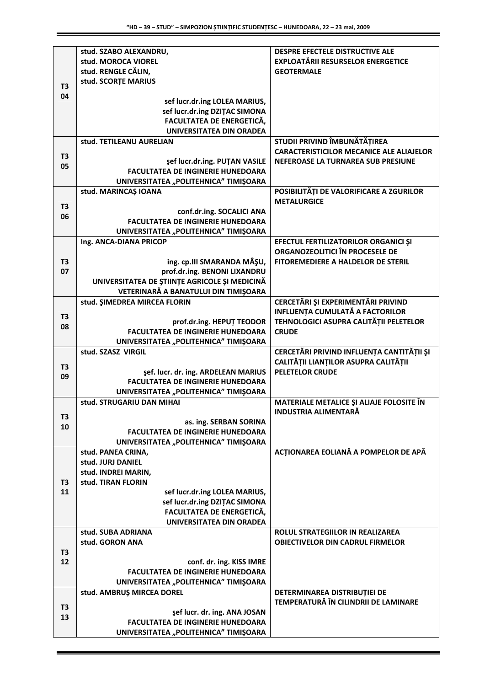|                | stud. SZABO ALEXANDRU,                                              | DESPRE EFECTELE DISTRUCTIVE ALE                 |
|----------------|---------------------------------------------------------------------|-------------------------------------------------|
|                | stud. MOROCA VIOREL                                                 | <b>EXPLOATĂRII RESURSELOR ENERGETICE</b>        |
|                | stud. RENGLE CĂLIN,                                                 | <b>GEOTERMALE</b>                               |
| T <sub>3</sub> | stud. SCORTE MARIUS                                                 |                                                 |
| 04             |                                                                     |                                                 |
|                | sef lucr.dr.ing LOLEA MARIUS,                                       |                                                 |
|                | sef lucr.dr.ing DZITAC SIMONA                                       |                                                 |
|                | <b>FACULTATEA DE ENERGETICĂ,</b><br><b>UNIVERSITATEA DIN ORADEA</b> |                                                 |
|                | stud. TETILEANU AURELIAN                                            | STUDII PRIVIND ÎMBUNĂTĂȚIREA                    |
|                |                                                                     | <b>CARACTERISTICILOR MECANICE ALE ALIAJELOR</b> |
| T <sub>3</sub> | şef lucr.dr.ing. PUȚAN VASILE                                       | NEFEROASE LA TURNAREA SUB PRESIUNE              |
| 05             | <b>FACULTATEA DE INGINERIE HUNEDOARA</b>                            |                                                 |
|                | UNIVERSITATEA "POLITEHNICA" TIMIŞOARA                               |                                                 |
|                | stud. MARINCAŞ IOANA                                                | POSIBILITĂȚI DE VALORIFICARE A ZGURILOR         |
|                |                                                                     | <b>METALURGICE</b>                              |
| T <sub>3</sub> | conf.dr.ing. SOCALICI ANA                                           |                                                 |
| 06             | <b>FACULTATEA DE INGINERIE HUNEDOARA</b>                            |                                                 |
|                | UNIVERSITATEA "POLITEHNICA" TIMIȘOARA                               |                                                 |
|                | Ing. ANCA-DIANA PRICOP                                              | EFECTUL FERTILIZATORILOR ORGANICI ȘI            |
|                |                                                                     | <b>ORGANOZEOLITICI ÎN PROCESELE DE</b>          |
| T3             | ing. cp.III SMARANDA MÂŞU,                                          | <b>FITOREMEDIERE A HALDELOR DE STERIL</b>       |
| 07             | prof.dr.ing. BENONI LIXANDRU                                        |                                                 |
|                | UNIVERSITATEA DE ȘTIINȚE AGRICOLE ȘI MEDICINĂ                       |                                                 |
|                | VETERINARĂ A BANATULUI DIN TIMIȘOARA                                |                                                 |
|                | stud. SIMEDREA MIRCEA FLORIN                                        | CERCETĂRI ȘI EXPERIMENTĂRI PRIVIND              |
| <b>T3</b>      |                                                                     | <b>INFLUENȚA CUMULATĂ A FACTORILOR</b>          |
| 08             | prof.dr.ing. HEPUT TEODOR                                           | TEHNOLOGICI ASUPRA CALITĂȚII PELETELOR          |
|                | <b>FACULTATEA DE INGINERIE HUNEDOARA</b>                            | <b>CRUDE</b>                                    |
|                | UNIVERSITATEA "POLITEHNICA" TIMIŞOARA<br>stud. SZASZ VIRGIL         | CERCETĂRI PRIVIND INFLUENȚA CANTITĂȚII ȘI       |
|                |                                                                     | CALITĂȚII LIANȚILOR ASUPRA CALITĂȚII            |
| T3             | şef. lucr. dr. ing. ARDELEAN MARIUS                                 | <b>PELETELOR CRUDE</b>                          |
| 09             | <b>FACULTATEA DE INGINERIE HUNEDOARA</b>                            |                                                 |
|                | UNIVERSITATEA "POLITEHNICA" TIMIŞOARA                               |                                                 |
|                | stud. STRUGARIU DAN MIHAI                                           | MATERIALE METALICE ȘI ALIAJE FOLOSITE ÎN        |
| T3             |                                                                     | <b>INDUSTRIA ALIMENTARĂ</b>                     |
| 10             | as. ing. SERBAN SORINA                                              |                                                 |
|                | <b>FACULTATEA DE INGINERIE HUNEDOARA</b>                            |                                                 |
|                | UNIVERSITATEA "POLITEHNICA" TIMIŞOARA                               |                                                 |
|                | stud. PANEA CRINA,                                                  | ACȚIONAREA EOLIANĂ A POMPELOR DE APĂ            |
|                | stud. JURJ DANIEL                                                   |                                                 |
|                | stud. INDREI MARIN,<br>stud. TIRAN FLORIN                           |                                                 |
| T3<br>11       | sef lucr.dr.ing LOLEA MARIUS,                                       |                                                 |
|                | sef lucr.dr.ing DZITAC SIMONA                                       |                                                 |
|                | FACULTATEA DE ENERGETICĂ,                                           |                                                 |
|                | <b>UNIVERSITATEA DIN ORADEA</b>                                     |                                                 |
|                | stud. SUBA ADRIANA                                                  | ROLUL STRATEGIILOR IN REALIZAREA                |
|                | stud. GORON ANA                                                     | <b>OBIECTIVELOR DIN CADRUL FIRMELOR</b>         |
| T3             |                                                                     |                                                 |
| 12             | conf. dr. ing. KISS IMRE                                            |                                                 |
|                | <b>FACULTATEA DE INGINERIE HUNEDOARA</b>                            |                                                 |
|                | UNIVERSITATEA "POLITEHNICA" TIMIŞOARA                               |                                                 |
|                | stud. AMBRUŞ MIRCEA DOREL                                           | DETERMINAREA DISTRIBUȚIEI DE                    |
| T3             |                                                                     | TEMPERATURĂ ÎN CILINDRII DE LAMINARE            |
| 13             | sef lucr. dr. ing. ANA JOSAN                                        |                                                 |
|                | <b>FACULTATEA DE INGINERIE HUNEDOARA</b>                            |                                                 |
|                | UNIVERSITATEA "POLITEHNICA" TIMIŞOARA                               |                                                 |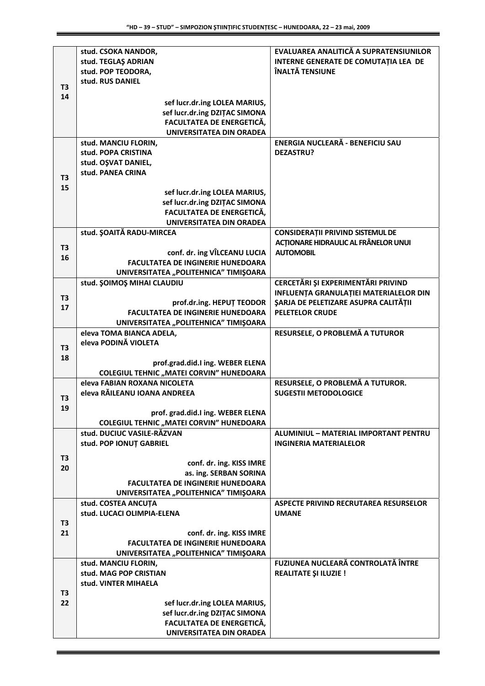|                      | stud. CSOKA NANDOR,                                                             | EVALUAREA ANALITICĂ A SUPRATENSIUNILOR                           |
|----------------------|---------------------------------------------------------------------------------|------------------------------------------------------------------|
|                      | stud. TEGLAŞ ADRIAN                                                             | INTERNE GENERATE DE COMUTAȚIA LEA DE                             |
|                      | stud. POP TEODORA,                                                              | ÎNALTĂ TENSIUNE                                                  |
| T <sub>3</sub>       | stud. RUS DANIEL                                                                |                                                                  |
| 14                   |                                                                                 |                                                                  |
|                      | sef lucr.dr.ing LOLEA MARIUS,                                                   |                                                                  |
|                      | sef lucr.dr.ing DZITAC SIMONA                                                   |                                                                  |
|                      | FACULTATEA DE ENERGETICĂ,                                                       |                                                                  |
|                      | <b>UNIVERSITATEA DIN ORADEA</b>                                                 |                                                                  |
|                      | stud. MANCIU FLORIN,                                                            | ENERGIA NUCLEARĂ - BENEFICIU SAU                                 |
|                      | stud. POPA CRISTINA                                                             | <b>DEZASTRU?</b>                                                 |
|                      | stud. OŞVAT DANIEL,<br>stud. PANEA CRINA                                        |                                                                  |
| T <sub>3</sub>       |                                                                                 |                                                                  |
| 15                   | sef lucr.dr.ing LOLEA MARIUS,                                                   |                                                                  |
|                      | sef lucr.dr.ing DZITAC SIMONA                                                   |                                                                  |
|                      | FACULTATEA DE ENERGETICĂ,                                                       |                                                                  |
|                      | <b>UNIVERSITATEA DIN ORADEA</b>                                                 |                                                                  |
|                      | stud. ŞOAITĂ RADU-MIRCEA                                                        | <b>CONSIDERAȚII PRIVIND SISTEMUL DE</b>                          |
|                      |                                                                                 | ACȚIONARE HIDRAULIC AL FRÂNELOR UNUI                             |
| T <sub>3</sub>       | conf. dr. ing VÎLCEANU LUCIA                                                    | <b>AUTOMOBIL</b>                                                 |
| 16                   | <b>FACULTATEA DE INGINERIE HUNEDOARA</b>                                        |                                                                  |
|                      | UNIVERSITATEA "POLITEHNICA" TIMIŞOARA                                           |                                                                  |
|                      | stud. ŞOIMOŞ MIHAI CLAUDIU                                                      | CERCETĂRI ȘI EXPERIMENTĂRI PRIVIND                               |
|                      |                                                                                 | INFLUENȚA GRANULAȚIEI MATERIALELOR DIN                           |
| T <sub>3</sub><br>17 | prof.dr.ing. HEPUT TEODOR                                                       | ŞARJA DE PELETIZARE ASUPRA CALITĂȚII                             |
|                      | <b>FACULTATEA DE INGINERIE HUNEDOARA</b>                                        | <b>PELETELOR CRUDE</b>                                           |
|                      | UNIVERSITATEA "POLITEHNICA" TIMIŞOARA                                           |                                                                  |
|                      | eleva TOMA BIANCA ADELA,                                                        | RESURSELE, O PROBLEMĂ A TUTUROR                                  |
| T <sub>3</sub>       | eleva PODINĂ VIOLETA                                                            |                                                                  |
| 18                   |                                                                                 |                                                                  |
|                      | prof.grad.did.I ing. WEBER ELENA                                                |                                                                  |
|                      | <b>COLEGIUL TEHNIC "MATEI CORVIN" HUNEDOARA</b><br>eleva FABIAN ROXANA NICOLETA |                                                                  |
|                      | eleva RĂILEANU IOANA ANDREEA                                                    | RESURSELE, O PROBLEMĂ A TUTUROR.<br><b>SUGESTII METODOLOGICE</b> |
| T <sub>3</sub>       |                                                                                 |                                                                  |
| 19                   | prof. grad.did.I ing. WEBER ELENA                                               |                                                                  |
|                      | <b>COLEGIUL TEHNIC "MATEI CORVIN" HUNEDOARA</b>                                 |                                                                  |
|                      | stud. DUCIUC VASILE-RĂZVAN                                                      | ALUMINIUL - MATERIAL IMPORTANT PENTRU                            |
|                      | stud. POP IONUT GABRIEL                                                         | <b>INGINERIA MATERIALELOR</b>                                    |
|                      |                                                                                 |                                                                  |
| T <sub>3</sub>       | conf. dr. ing. KISS IMRE                                                        |                                                                  |
| 20                   | as. ing. SERBAN SORINA                                                          |                                                                  |
|                      | <b>FACULTATEA DE INGINERIE HUNEDOARA</b>                                        |                                                                  |
|                      | UNIVERSITATEA "POLITEHNICA" TIMIŞOARA                                           |                                                                  |
|                      | stud. COSTEA ANCUTA                                                             | ASPECTE PRIVIND RECRUTAREA RESURSELOR                            |
|                      | stud. LUCACI OLIMPIA-ELENA                                                      | <b>UMANE</b>                                                     |
| T <sub>3</sub>       |                                                                                 |                                                                  |
| 21                   | conf. dr. ing. KISS IMRE                                                        |                                                                  |
|                      | <b>FACULTATEA DE INGINERIE HUNEDOARA</b>                                        |                                                                  |
|                      | UNIVERSITATEA "POLITEHNICA" TIMIŞOARA                                           |                                                                  |
|                      | stud. MANCIU FLORIN,                                                            | FUZIUNEA NUCLEARĂ CONTROLATĂ ÎNTRE                               |
|                      | stud. MAG POP CRISTIAN                                                          | <b>REALITATE ȘI ILUZIE !</b>                                     |
|                      | stud. VINTER MIHAELA                                                            |                                                                  |
| T <sub>3</sub>       |                                                                                 |                                                                  |
| 22                   | sef lucr.dr.ing LOLEA MARIUS,<br>sef lucr.dr.ing DZITAC SIMONA                  |                                                                  |
|                      | FACULTATEA DE ENERGETICĂ,                                                       |                                                                  |
|                      | UNIVERSITATEA DIN ORADEA                                                        |                                                                  |
|                      |                                                                                 |                                                                  |